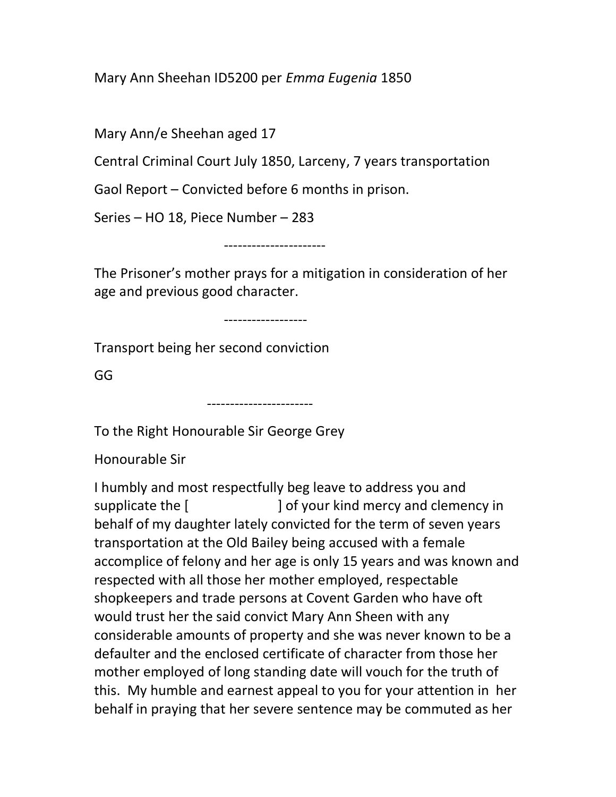Mary Ann Sheehan ID5200 per Emma Eugenia 1850

Mary Ann/e Sheehan aged 17

Central Criminal Court July 1850, Larceny, 7 years transportation

Gaol Report – Convicted before 6 months in prison.

Series – HO 18, Piece Number – 283

----------------------

The Prisoner's mother prays for a mitigation in consideration of her age and previous good character.

------------------

Transport being her second conviction

GG

-----------------------

To the Right Honourable Sir George Grey

Honourable Sir

I humbly and most respectfully beg leave to address you and supplicate the [  $\qquad$  ] of your kind mercy and clemency in behalf of my daughter lately convicted for the term of seven years transportation at the Old Bailey being accused with a female accomplice of felony and her age is only 15 years and was known and respected with all those her mother employed, respectable shopkeepers and trade persons at Covent Garden who have oft would trust her the said convict Mary Ann Sheen with any considerable amounts of property and she was never known to be a defaulter and the enclosed certificate of character from those her mother employed of long standing date will vouch for the truth of this. My humble and earnest appeal to you for your attention in her behalf in praying that her severe sentence may be commuted as her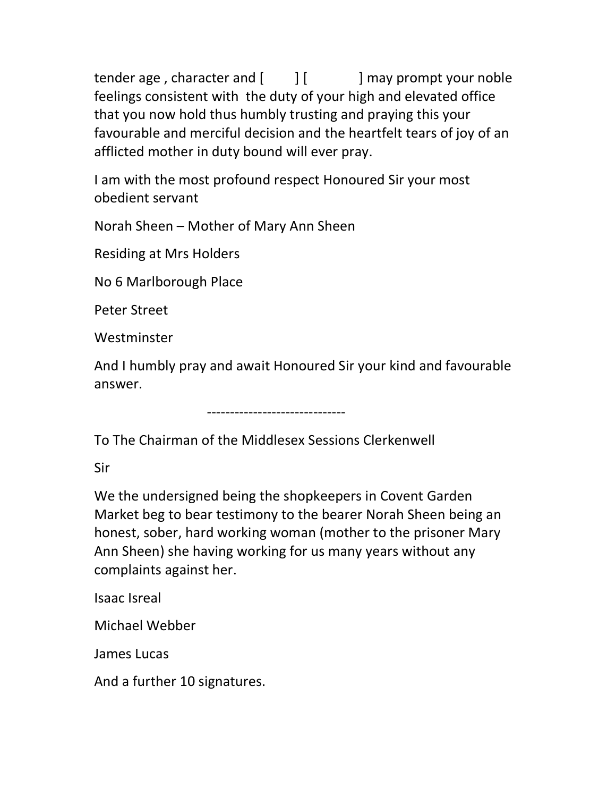tender age, character and  $\begin{bmatrix} 1 & 1 \\ 1 & 1 \end{bmatrix}$  may prompt your noble feelings consistent with the duty of your high and elevated office that you now hold thus humbly trusting and praying this your favourable and merciful decision and the heartfelt tears of joy of an afflicted mother in duty bound will ever pray.

I am with the most profound respect Honoured Sir your most obedient servant

Norah Sheen – Mother of Mary Ann Sheen

Residing at Mrs Holders

No 6 Marlborough Place

Peter Street

Westminster

And I humbly pray and await Honoured Sir your kind and favourable answer.

------------------------------

To The Chairman of the Middlesex Sessions Clerkenwell

Sir

We the undersigned being the shopkeepers in Covent Garden Market beg to bear testimony to the bearer Norah Sheen being an honest, sober, hard working woman (mother to the prisoner Mary Ann Sheen) she having working for us many years without any complaints against her.

Isaac Isreal

Michael Webber

James Lucas

And a further 10 signatures.